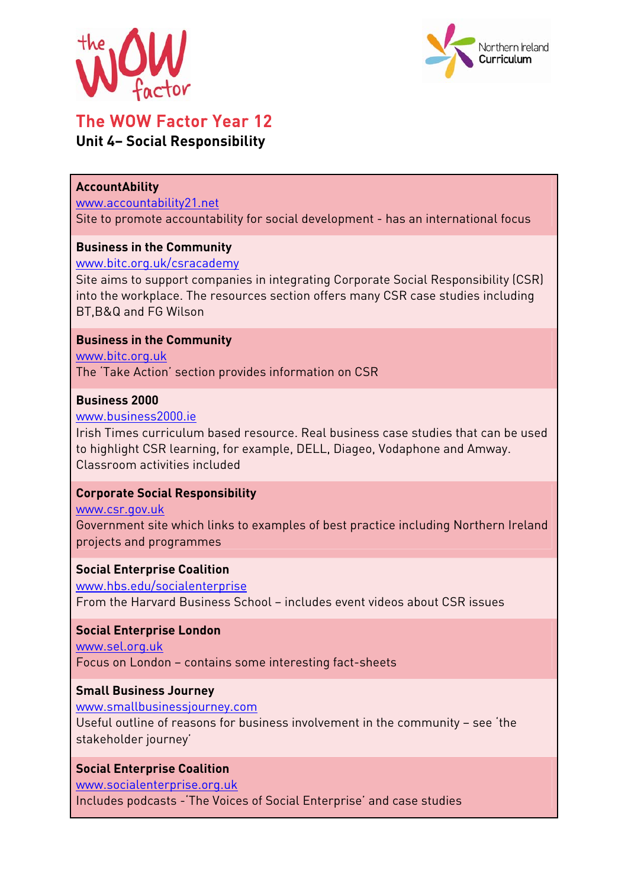



# The WOW Factor Year 12

# **Unit 4– Social Responsibility**

#### **AccountAbility**

#### www.accountability21.net

Site to promote accountability for social development - has an international focus

#### **Business in the Community**

#### www.bitc.org.uk/csracademy

Site aims to support companies in integrating Corporate Social Responsibility (CSR) into the workplace. The resources section offers many CSR case studies including BT,B&Q and FG Wilson

#### **Business in the Community**

www.bitc.org.uk

The 'Take Action' section provides information on CSR

### **Business 2000**

#### www.business2000.ie

Irish Times curriculum based resource. Real business case studies that can be used to highlight CSR learning, for example, DELL, Diageo, Vodaphone and Amway. Classroom activities included

# **Corporate Social Responsibility**

#### www.csr.gov.uk

Government site which links to examples of best practice including Northern Ireland projects and programmes

#### **Social Enterprise Coalition**

www.hbs.edu/socialenterprise From the Harvard Business School – includes event videos about CSR issues

#### **Social Enterprise London**

www.sel.org.uk Focus on London – contains some interesting fact-sheets

#### **Small Business Journey**

www.smallbusinessjourney.com

Useful outline of reasons for business involvement in the community – see 'the stakeholder journey'

# **Social Enterprise Coalition**

www.socialenterprise.org.uk

Includes podcasts -'The Voices of Social Enterprise' and case studies